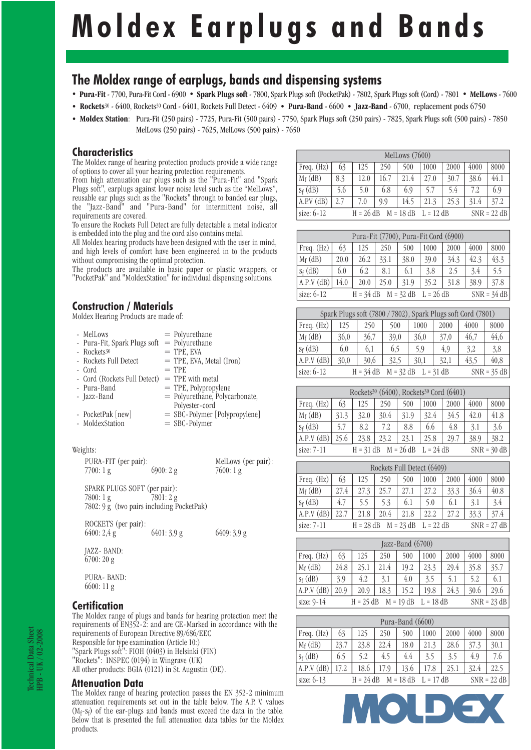# **Moldex Earplugs and Bands**

# **The Moldex range of earplugs, bands and dispensing systems**

- · **Pura-Fit** 7700, Pura-Fit Cord 6900 · **Spark Plugs soft** 7800, Spark Plugs soft (PocketPak) 7802, Spark Plugs soft (Cord) 7801 · **MelLows** 7600
- · **Rockets**30 6400, Rockets30 Cord 6401, Rockets Full Detect 6409 · **Pura-Band** 6600 · **Jazz-Band** 6700, replacement pods 6750
- · **Moldex Station**: Pura-Fit (250 pairs) 7725, Pura-Fit (500 pairs) 7750, Spark Plugs soft (250 pairs) 7825, Spark Plugs soft (500 pairs) 7850 MelLows (250 pairs) - 7625, MelLows (500 pairs) - 7650

## **Characteristics**

The Moldex range of hearing protection products provide a wide range of options to cover all your hearing protection requirements.

From high attenuation ear plugs such as the "Pura-Fit" and "Spark Plugs soft", earplugs against lower noise level such as the "MelLows", reusable ear plugs such as the "Rockets" through to banded ear plugs, the "Jazz-Band" and "Pura-Band" for intermittent noise, all requirements are covered.

To ensure the Rockets Full Detect are fully detectable a metal indicator is embedded into the plug and the cord also contains metal.

All Moldex hearing products have been designed with the user in mind, and high levels of comfort have been engineered in to the products without compromising the optimal protection.

The products are available in basic paper or plastic wrappers, or "PocketPak" and "MoldexStation" for individual dispensing solutions.

## **Construction / Materials**

Moldex Hearing Products are made of:

| - MelLows                    | $=$ Polyurethane               |  |
|------------------------------|--------------------------------|--|
| - Pura-Fit, Spark Plugs soft | $=$ Polyurethane               |  |
| - Rockets <sup>30</sup>      | $=$ TPE, EVA                   |  |
| - Rockets Full Detect        | $=$ TPE, EVA, Metal (Iron)     |  |
| - Cord                       | $=$ TPE                        |  |
| - Cord (Rockets Full Detect) | $=$ TPE with metal             |  |
| - Pura-Band                  | $=$ TPE, Polypropylene         |  |
| - Jazz-Band                  | = Polyurethane, Polycarbonate, |  |
|                              | Polyester-cord                 |  |
| - PocketPak [new]            | = SBC-Polymer [Polypropylene]  |  |
| - MoldexStation              | $=$ SBC-Polymer                |  |

#### Weights:

| PURA-FIT (per pair): |          | MelLows (per pair): |
|----------------------|----------|---------------------|
| 7700:1 g             | 6900:2 g | 7600:1 g            |

 SPARK PLUGS SOFT (per pair): 7800: 1 g 7801: 2 g 7802: 9 g (two pairs including PocketPak)

ROCKETS (per pair):<br>6400: 2.4 g  $6401: 3.9 \text{ g}$   $6409: 3.9 \text{ g}$  JAZZ- BAND: 6700: 20 g

 PURA- BAND: 6600: 11 g

## **Certification**

The Moldex range of plugs and bands for hearing protection meet the requirements of EN352-2: and are CE-Marked in accordance with the requirements of European Directive 89/686/EEC Responsible for type examination (Article 10:) "Spark Plugs soft": FIOH (0403) in Helsinki (FIN) "Rockets": INSPEC (0194) in Wingrave (UK) All other products: BGIA (0121) in St. Augustin (DE).

## **Attenuation Data**

The Moldex range of hearing protection passes the EN 352-2 minimum attenuation requirements set out in the table below. The A.P. V. values (Mf -sf ) of the ear-plugs and bands must exceed the data in the table. Below that is presented the full attenuation data tables for the Moldex products.

| MelLows (7600) |                                                            |      |      |      |      |      |      |      |  |  |  |
|----------------|------------------------------------------------------------|------|------|------|------|------|------|------|--|--|--|
| Freq. $(Hz)$   | 63                                                         | 125  | 250  | 500  | 1000 | 2000 | 4000 | 8000 |  |  |  |
| $M_f$ (dB)     | 8.3                                                        | 12.0 | 16.7 | 21.4 | 27.0 | 30.7 | 38.6 | 44.1 |  |  |  |
| $S_f$ (dB)     | 5.6                                                        | 5.0  | 6.8  | 6.9  | 5.7  | 5.4  | 7.2  | 6.9  |  |  |  |
| A.P.V (dB)     | 2.7                                                        | 7.0  | 9.9  | 14.5 | 21.3 | 25.3 | 31.4 | 37.2 |  |  |  |
| size: 6-12     | $H = 26 dB$<br>$M = 18 dB$<br>$SNR = 22 dB$<br>$L = 12 dB$ |      |      |      |      |      |      |      |  |  |  |

| Pura-Fit (7700), Pura-Fit Cord (6900) |                                                       |      |      |      |      |      |      |      |  |  |  |
|---------------------------------------|-------------------------------------------------------|------|------|------|------|------|------|------|--|--|--|
| Freq. (Hz)                            | 63                                                    | 125  | 250  | 500  | 1000 | 2000 | 4000 | 8000 |  |  |  |
| $M_f$ (dB)                            | 20.0                                                  | 26.2 | 33.1 | 38.0 | 39.0 | 34.3 | 42.3 | 43.3 |  |  |  |
| $S_f$ (dB)                            | 6.0                                                   | 6.2  | 8.1  | 6.1  | 3.8  | 2.5  | 3.4  | 5.5  |  |  |  |
| A.P.V (dB)                            | 14.0                                                  | 20.0 | 25.0 | 31.9 | 35.2 | 31.8 | 38.9 | 37.8 |  |  |  |
| size: $6-12$                          | $SNR = 34 dB$<br>$M = 32 dB$ L = 26 dB<br>$H = 34 dB$ |      |      |      |      |      |      |      |  |  |  |

|            | Spark Plugs soft (7800 / 7802), Spark Plugs soft Cord (7801) |      |      |      |      |      |      |  |  |  |  |  |
|------------|--------------------------------------------------------------|------|------|------|------|------|------|--|--|--|--|--|
| Freq. (Hz) | 125                                                          | 250  | 500  | 1000 | 2000 | 4000 | 8000 |  |  |  |  |  |
| $M_f$ (dB) | 36.0                                                         | 36,7 | 39,0 | 36,0 | 37,0 | 46,7 | 44,6 |  |  |  |  |  |
| $S_f$ (dB) | 6.0                                                          | 6.1  | 6,5  | 5,9  | 4,9  | 3,2  | 3.8  |  |  |  |  |  |
| A.P.V (dB) | 30,0                                                         | 30,6 | 32,5 | 30,1 | 32,1 | 43,5 | 40.8 |  |  |  |  |  |
| size: 6-12 | $H = 34 dB$<br>$SNR = 35 dB$<br>$M = 32 dB$<br>$L = 31 dB$   |      |      |      |      |      |      |  |  |  |  |  |

| Rockets <sup>30</sup> (6400), Rockets <sup>30</sup> Cord (6401)      |      |      |      |      |      |      |      |      |  |  |
|----------------------------------------------------------------------|------|------|------|------|------|------|------|------|--|--|
| Freq. (Hz)                                                           | 63   | 125  | 250  | 500  | 1000 | 2000 | 4000 | 8000 |  |  |
| $M_f$ (dB)                                                           | 31.3 | 32.0 | 30.4 | 31.9 | 32.4 | 34.5 | 42.0 | 41.8 |  |  |
| $S_f$ (dB)                                                           | 5.7  | 8.2  | 7.2  | 8.8  | 6.6  | 4.8  | 3.1  | 3.6  |  |  |
| A.P.V (dB)                                                           | 25.6 | 23.8 | 23.2 | 23.1 | 25.8 | 29.7 | 38.9 | 38.2 |  |  |
| $H = 31 dB$ $M = 26 dB$ $L = 24 dB$<br>$SNR = 30 dB$<br>size: $7-11$ |      |      |      |      |      |      |      |      |  |  |

| Rockets Full Detect (6409)                                                 |      |      |      |      |      |      |      |      |  |  |
|----------------------------------------------------------------------------|------|------|------|------|------|------|------|------|--|--|
| Freq. (Hz)                                                                 | 63   | 125  | 250  | 500  | 1000 | 2000 | 4000 | 8000 |  |  |
| $M_f$ (dB)                                                                 | 27.4 | 27.3 | 25.7 | 27.1 | 27.2 | 33.3 | 36.4 | 40.8 |  |  |
| $S_f$ (dB)                                                                 | 4.7  | 5.5  | 5.3  | 6.1  | 5.0  | 6.1  | 3.1  | 3.4  |  |  |
| A.P.V (dB)                                                                 | 22.7 | 21.8 | 20.4 | 21.8 | 22.2 | 27.2 | 33.3 | 37.4 |  |  |
| $SNR = 27 dB$<br>$M = 23 dB$<br>$L = 22 dB$<br>$H = 28 dB$<br>size: $7-11$ |      |      |      |      |      |      |      |      |  |  |

| Jazz-Band (6700) |                                                            |      |      |      |      |      |      |      |  |  |
|------------------|------------------------------------------------------------|------|------|------|------|------|------|------|--|--|
| Freq. (Hz)       | 63                                                         | 125  | 250  | 500  | 1000 | 2000 | 4000 | 8000 |  |  |
| $M_f$ (dB)       | 24.8                                                       | 25.1 | 21.4 | 19.2 | 23.3 | 29.4 | 35.8 | 35.7 |  |  |
| $S_f$ (dB)       | 3.9                                                        | 4.2  | 3.1  | 4.0  | 3.5  | 5.1  | 5.2  | 6.1  |  |  |
| A.P.V (dB)       | 20.9                                                       | 20.9 | 18.3 | 15.2 | 19.8 | 24.3 | 30.6 | 29.6 |  |  |
| size: 9-14       | $SNR = 23 dB$<br>$M = 19 dB$<br>$L = 18 dB$<br>$H = 25 dB$ |      |      |      |      |      |      |      |  |  |

| Pura-Band (6600) |                                                            |      |      |      |      |      |      |      |  |  |  |
|------------------|------------------------------------------------------------|------|------|------|------|------|------|------|--|--|--|
| Freq. (Hz)       | 63                                                         | 125  | 250  | 500  | 1000 | 2000 | 4000 | 8000 |  |  |  |
| $M_f$ (dB)       | 23.7                                                       | 23.8 | 22.4 | 18.0 | 21.3 | 28.6 | 37.3 | 30.1 |  |  |  |
| $S_f$ (dB)       | 6.5                                                        | 5.2  | 4.5  | 4.4  | 3.5  | 3.5  | 4.9  | 7.6  |  |  |  |
| A.P.V (dB)       | 17.2                                                       | 18.6 | 17.9 | 13.6 | 17.8 | 25.1 | 32.4 | 22.5 |  |  |  |
| size: $6-13$     | $H = 24 dB$<br>$M = 18 dB$<br>$SNR = 22 dB$<br>$L = 17 dB$ |      |      |      |      |      |      |      |  |  |  |